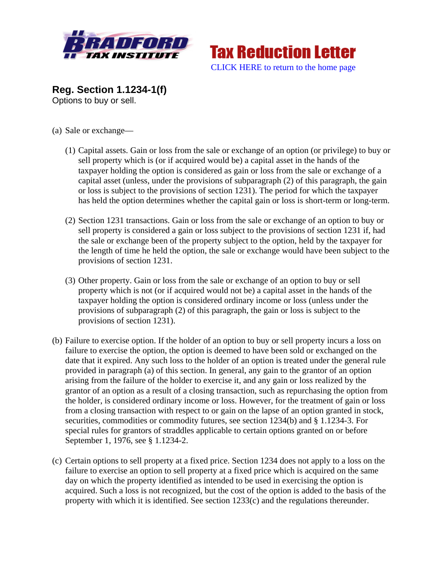



**Reg. Section 1.1234-1(f)** Options to buy or sell.

- (a) Sale or exchange—
	- (1) Capital assets. Gain or loss from the sale or exchange of an option (or privilege) to buy or sell property which is (or if acquired would be) a capital asset in the hands of the taxpayer holding the option is considered as gain or loss from the sale or exchange of a capital asset (unless, under the provisions of subparagraph (2) of this paragraph, the gain or loss is subject to the provisions of section 1231). The period for which the taxpayer has held the option determines whether the capital gain or loss is short-term or long-term.
	- (2) Section 1231 transactions. Gain or loss from the sale or exchange of an option to buy or sell property is considered a gain or loss subject to the provisions of section 1231 if, had the sale or exchange been of the property subject to the option, held by the taxpayer for the length of time he held the option, the sale or exchange would have been subject to the provisions of section 1231.
	- (3) Other property. Gain or loss from the sale or exchange of an option to buy or sell property which is not (or if acquired would not be) a capital asset in the hands of the taxpayer holding the option is considered ordinary income or loss (unless under the provisions of subparagraph (2) of this paragraph, the gain or loss is subject to the provisions of section 1231).
- (b) Failure to exercise option. If the holder of an option to buy or sell property incurs a loss on failure to exercise the option, the option is deemed to have been sold or exchanged on the date that it expired. Any such loss to the holder of an option is treated under the general rule provided in paragraph (a) of this section. In general, any gain to the grantor of an option arising from the failure of the holder to exercise it, and any gain or loss realized by the grantor of an option as a result of a closing transaction, such as repurchasing the option from the holder, is considered ordinary income or loss. However, for the treatment of gain or loss from a closing transaction with respect to or gain on the lapse of an option granted in stock, securities, commodities or commodity futures, see section 1234(b) and § 1.1234-3. For special rules for grantors of straddles applicable to certain options granted on or before September 1, 1976, see § 1.1234-2.
- (c) Certain options to sell property at a fixed price. Section 1234 does not apply to a loss on the failure to exercise an option to sell property at a fixed price which is acquired on the same day on which the property identified as intended to be used in exercising the option is acquired. Such a loss is not recognized, but the cost of the option is added to the basis of the property with which it is identified. See section 1233(c) and the regulations thereunder.